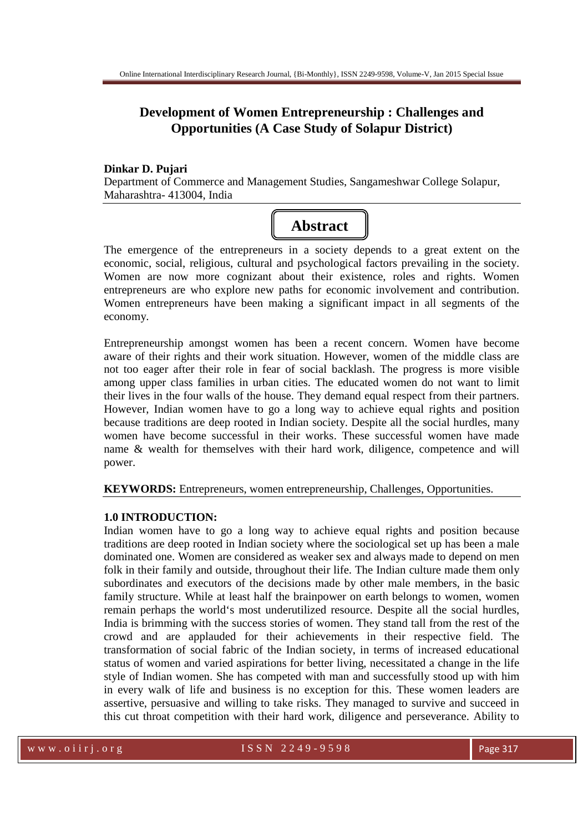## **Development of Women Entrepreneurship : Challenges and Opportunities (A Case Study of Solapur District)**

## **Dinkar D. Pujari**

Department of Commerce and Management Studies, Sangameshwar College Solapur, Maharashtra- 413004, India

# **Abstract**

The emergence of the entrepreneurs in a society depends to a great extent on the economic, social, religious, cultural and psychological factors prevailing in the society. Women are now more cognizant about their existence, roles and rights. Women entrepreneurs are who explore new paths for economic involvement and contribution. Women entrepreneurs have been making a significant impact in all segments of the economy.

Entrepreneurship amongst women has been a recent concern. Women have become aware of their rights and their work situation. However, women of the middle class are not too eager after their role in fear of social backlash. The progress is more visible among upper class families in urban cities. The educated women do not want to limit their lives in the four walls of the house. They demand equal respect from their partners. However, Indian women have to go a long way to achieve equal rights and position because traditions are deep rooted in Indian society. Despite all the social hurdles, many women have become successful in their works. These successful women have made name & wealth for themselves with their hard work, diligence, competence and will power.

**KEYWORDS:** Entrepreneurs, women entrepreneurship, Challenges, Opportunities.

## **1.0 INTRODUCTION:**

Indian women have to go a long way to achieve equal rights and position because traditions are deep rooted in Indian society where the sociological set up has been a male dominated one. Women are considered as weaker sex and always made to depend on men folk in their family and outside, throughout their life. The Indian culture made them only subordinates and executors of the decisions made by other male members, in the basic family structure. While at least half the brainpower on earth belongs to women, women remain perhaps the world's most underutilized resource. Despite all the social hurdles, India is brimming with the success stories of women. They stand tall from the rest of the crowd and are applauded for their achievements in their respective field. The transformation of social fabric of the Indian society, in terms of increased educational status of women and varied aspirations for better living, necessitated a change in the life style of Indian women. She has competed with man and successfully stood up with him in every walk of life and business is no exception for this. These women leaders are assertive, persuasive and willing to take risks. They managed to survive and succeed in this cut throat competition with their hard work, diligence and perseverance. Ability to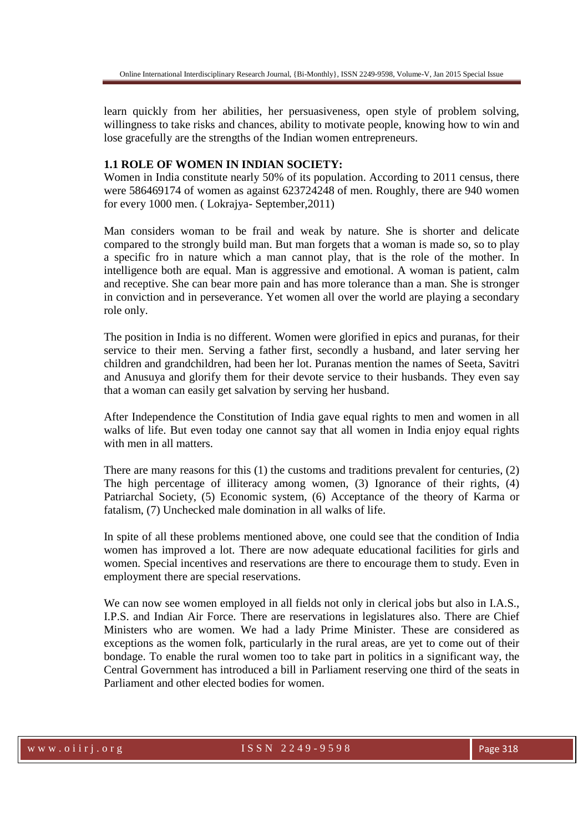learn quickly from her abilities, her persuasiveness, open style of problem solving, willingness to take risks and chances, ability to motivate people, knowing how to win and lose gracefully are the strengths of the Indian women entrepreneurs.

### **1.1 ROLE OF WOMEN IN INDIAN SOCIETY:**

Women in India constitute nearly 50% of its population. According to 2011 census, there were 586469174 of women as against 623724248 of men. Roughly, there are 940 women for every 1000 men. ( Lokrajya- September,2011)

Man considers woman to be frail and weak by nature. She is shorter and delicate compared to the strongly build man. But man forgets that a woman is made so, so to play a specific fro in nature which a man cannot play, that is the role of the mother. In intelligence both are equal. Man is aggressive and emotional. A woman is patient, calm and receptive. She can bear more pain and has more tolerance than a man. She is stronger in conviction and in perseverance. Yet women all over the world are playing a secondary role only.

The position in India is no different. Women were glorified in epics and puranas, for their service to their men. Serving a father first, secondly a husband, and later serving her children and grandchildren, had been her lot. Puranas mention the names of Seeta, Savitri and Anusuya and glorify them for their devote service to their husbands. They even say that a woman can easily get salvation by serving her husband.

After Independence the Constitution of India gave equal rights to men and women in all walks of life. But even today one cannot say that all women in India enjoy equal rights with men in all matters.

There are many reasons for this (1) the customs and traditions prevalent for centuries, (2) The high percentage of illiteracy among women, (3) Ignorance of their rights, (4) Patriarchal Society, (5) Economic system, (6) Acceptance of the theory of Karma or fatalism, (7) Unchecked male domination in all walks of life.

In spite of all these problems mentioned above, one could see that the condition of India women has improved a lot. There are now adequate educational facilities for girls and women. Special incentives and reservations are there to encourage them to study. Even in employment there are special reservations.

We can now see women employed in all fields not only in clerical jobs but also in I.A.S., I.P.S. and Indian Air Force. There are reservations in legislatures also. There are Chief Ministers who are women. We had a lady Prime Minister. These are considered as exceptions as the women folk, particularly in the rural areas, are yet to come out of their bondage. To enable the rural women too to take part in politics in a significant way, the Central Government has introduced a bill in Parliament reserving one third of the seats in Parliament and other elected bodies for women.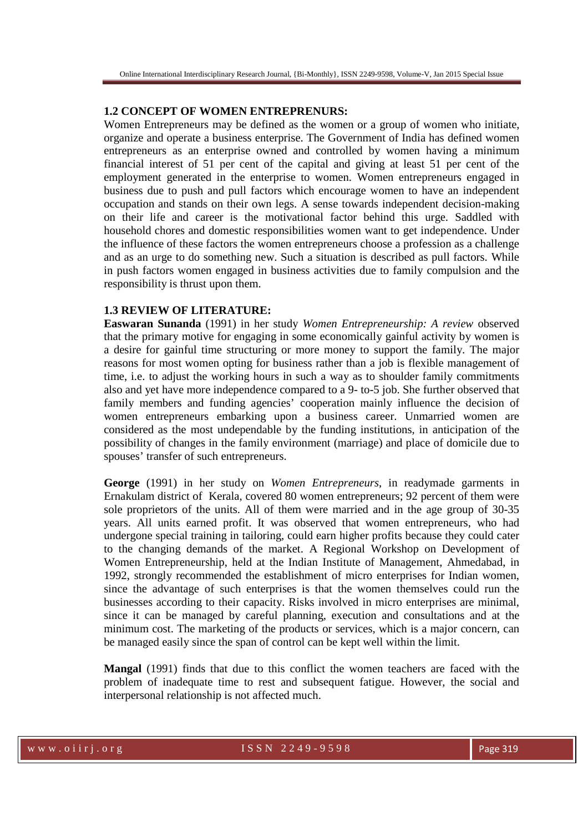#### **1.2 CONCEPT OF WOMEN ENTREPRENURS:**

Women Entrepreneurs may be defined as the women or a group of women who initiate, organize and operate a business enterprise. The Government of India has defined women entrepreneurs as an enterprise owned and controlled by women having a minimum financial interest of 51 per cent of the capital and giving at least 51 per cent of the employment generated in the enterprise to women. Women entrepreneurs engaged in business due to push and pull factors which encourage women to have an independent occupation and stands on their own legs. A sense towards independent decision-making on their life and career is the motivational factor behind this urge. Saddled with household chores and domestic responsibilities women want to get independence. Under the influence of these factors the women entrepreneurs choose a profession as a challenge and as an urge to do something new. Such a situation is described as pull factors. While in push factors women engaged in business activities due to family compulsion and the responsibility is thrust upon them.

#### **1.3 REVIEW OF LITERATURE:**

**Easwaran Sunanda** (1991) in her study *Women Entrepreneurship: A review* observed that the primary motive for engaging in some economically gainful activity by women is a desire for gainful time structuring or more money to support the family. The major reasons for most women opting for business rather than a job is flexible management of time, i.e. to adjust the working hours in such a way as to shoulder family commitments also and yet have more independence compared to a 9- to-5 job. She further observed that family members and funding agencies' cooperation mainly influence the decision of women entrepreneurs embarking upon a business career. Unmarried women are considered as the most undependable by the funding institutions, in anticipation of the possibility of changes in the family environment (marriage) and place of domicile due to spouses' transfer of such entrepreneurs.

**George** (1991) in her study on *Women Entrepreneurs*, in readymade garments in Ernakulam district of Kerala, covered 80 women entrepreneurs; 92 percent of them were sole proprietors of the units. All of them were married and in the age group of 30-35 years. All units earned profit. It was observed that women entrepreneurs, who had undergone special training in tailoring, could earn higher profits because they could cater to the changing demands of the market. A Regional Workshop on Development of Women Entrepreneurship, held at the Indian Institute of Management, Ahmedabad, in 1992, strongly recommended the establishment of micro enterprises for Indian women, since the advantage of such enterprises is that the women themselves could run the businesses according to their capacity. Risks involved in micro enterprises are minimal, since it can be managed by careful planning, execution and consultations and at the minimum cost. The marketing of the products or services, which is a major concern, can be managed easily since the span of control can be kept well within the limit.

**Mangal** (1991) finds that due to this conflict the women teachers are faced with the problem of inadequate time to rest and subsequent fatigue. However, the social and interpersonal relationship is not affected much.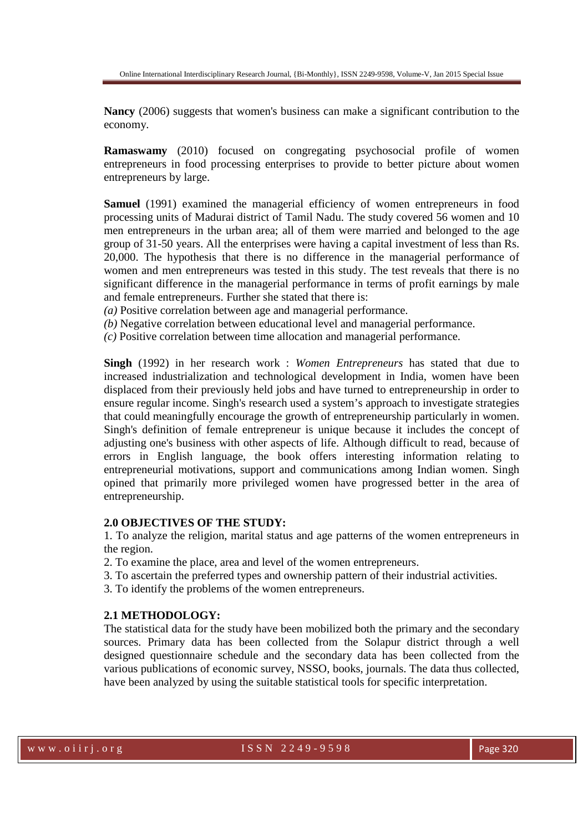**Nancy** (2006) suggests that women's business can make a significant contribution to the economy.

**Ramaswamy** (2010) focused on congregating psychosocial profile of women entrepreneurs in food processing enterprises to provide to better picture about women entrepreneurs by large.

**Samuel** (1991) examined the managerial efficiency of women entrepreneurs in food processing units of Madurai district of Tamil Nadu. The study covered 56 women and 10 men entrepreneurs in the urban area; all of them were married and belonged to the age group of 31-50 years. All the enterprises were having a capital investment of less than Rs. 20,000. The hypothesis that there is no difference in the managerial performance of women and men entrepreneurs was tested in this study. The test reveals that there is no significant difference in the managerial performance in terms of profit earnings by male and female entrepreneurs. Further she stated that there is:

*(a)* Positive correlation between age and managerial performance.

*(b)* Negative correlation between educational level and managerial performance.

*(c)* Positive correlation between time allocation and managerial performance.

**Singh** (1992) in her research work : *Women Entrepreneurs* has stated that due to increased industrialization and technological development in India, women have been displaced from their previously held jobs and have turned to entrepreneurship in order to ensure regular income. Singh's research used a system's approach to investigate strategies that could meaningfully encourage the growth of entrepreneurship particularly in women. Singh's definition of female entrepreneur is unique because it includes the concept of adjusting one's business with other aspects of life. Although difficult to read, because of errors in English language, the book offers interesting information relating to entrepreneurial motivations, support and communications among Indian women. Singh opined that primarily more privileged women have progressed better in the area of entrepreneurship.

#### **2.0 OBJECTIVES OF THE STUDY:**

1. To analyze the religion, marital status and age patterns of the women entrepreneurs in the region.

- 2. To examine the place, area and level of the women entrepreneurs.
- 3. To ascertain the preferred types and ownership pattern of their industrial activities.
- 3. To identify the problems of the women entrepreneurs.

#### **2.1 METHODOLOGY:**

The statistical data for the study have been mobilized both the primary and the secondary sources. Primary data has been collected from the Solapur district through a well designed questionnaire schedule and the secondary data has been collected from the various publications of economic survey, NSSO, books, journals. The data thus collected, have been analyzed by using the suitable statistical tools for specific interpretation.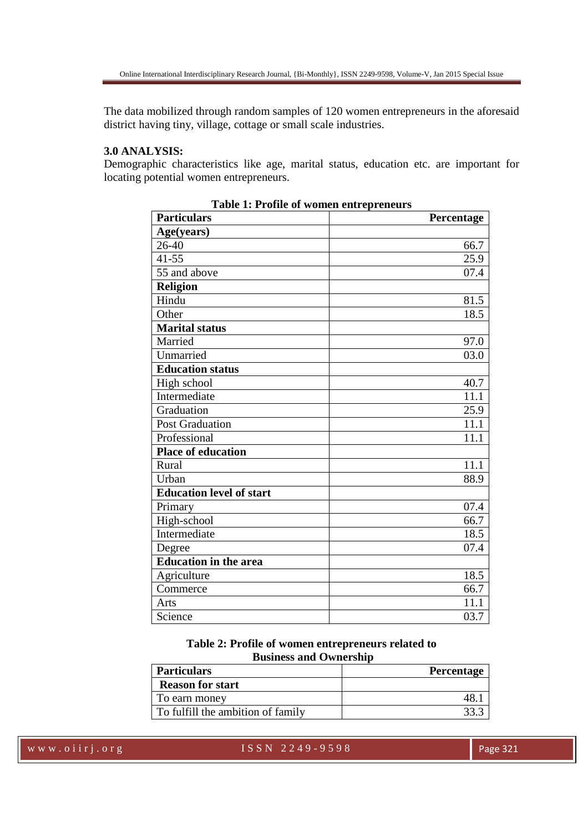The data mobilized through random samples of 120 women entrepreneurs in the aforesaid district having tiny, village, cottage or small scale industries.

## **3.0 ANALYSIS:**

Demographic characteristics like age, marital status, education etc. are important for locating potential women entrepreneurs.

| radic 1. 1 follic of women entrepreneurs<br><b>Particulars</b> | Percentage |
|----------------------------------------------------------------|------------|
| Age(years)                                                     |            |
| 26-40                                                          | 66.7       |
| $41 - 55$                                                      | 25.9       |
| 55 and above                                                   | 07.4       |
| <b>Religion</b>                                                |            |
| Hindu                                                          | 81.5       |
| Other                                                          | 18.5       |
| <b>Marital status</b>                                          |            |
| Married                                                        | 97.0       |
| Unmarried                                                      | 03.0       |
| <b>Education status</b>                                        |            |
| High school                                                    | 40.7       |
| Intermediate                                                   | 11.1       |
| Graduation                                                     | 25.9       |
| Post Graduation                                                | 11.1       |
| Professional                                                   | 11.1       |
| <b>Place of education</b>                                      |            |
| Rural                                                          | 11.1       |
| Urban                                                          | 88.9       |
| <b>Education level of start</b>                                |            |
| Primary                                                        | 07.4       |
| High-school                                                    | 66.7       |
| Intermediate                                                   | 18.5       |
| Degree                                                         | 07.4       |
| <b>Education in the area</b>                                   |            |
| Agriculture                                                    | 18.5       |
| Commerce                                                       | 66.7       |
| Arts                                                           | 11.1       |
| Science                                                        | 03.7       |

**Table 1: Profile of women entrepreneurs** 

**Table 2: Profile of women entrepreneurs related to Business and Ownership** 

| <b>Particulars</b>                | <b>Percentage</b> |
|-----------------------------------|-------------------|
| <b>Reason for start</b>           |                   |
| To earn money                     |                   |
| To fulfill the ambition of family |                   |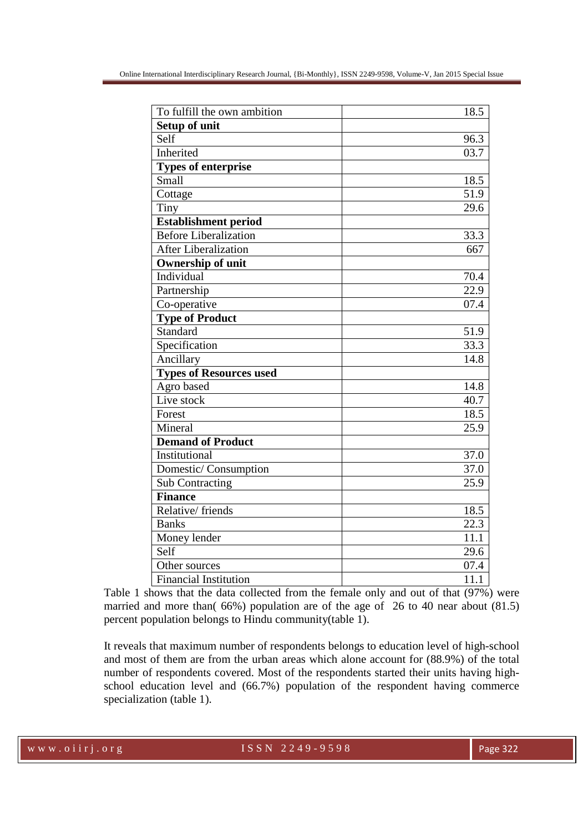| To fulfill the own ambition    | 18.5              |
|--------------------------------|-------------------|
| <b>Setup of unit</b>           |                   |
| Self                           | 96.3              |
| Inherited                      | 03.7              |
| <b>Types of enterprise</b>     |                   |
| Small                          | 18.5              |
| Cottage                        | $\overline{51.9}$ |
| Tiny                           | 29.6              |
| <b>Establishment period</b>    |                   |
| <b>Before Liberalization</b>   | 33.3              |
| <b>After Liberalization</b>    | 667               |
| <b>Ownership of unit</b>       |                   |
| Individual                     | 70.4              |
| Partnership                    | 22.9              |
| Co-operative                   | 07.4              |
| <b>Type of Product</b>         |                   |
| Standard                       | 51.9              |
| Specification                  | 33.3              |
| Ancillary                      | 14.8              |
| <b>Types of Resources used</b> |                   |
| Agro based                     | 14.8              |
| Live stock                     | 40.7              |
| Forest                         | 18.5              |
| Mineral                        | 25.9              |
| <b>Demand of Product</b>       |                   |
| Institutional                  | 37.0              |
| Domestic/Consumption           | $\overline{37.0}$ |
| <b>Sub Contracting</b>         | 25.9              |
| <b>Finance</b>                 |                   |
| Relative/friends               | 18.5              |
| <b>Banks</b>                   | 22.3              |
| Money lender                   | 11.1              |
| Self                           | 29.6              |
| Other sources                  | 07.4              |
| <b>Financial Institution</b>   | 11.1              |

Table 1 shows that the data collected from the female only and out of that (97%) were married and more than( 66%) population are of the age of 26 to 40 near about (81.5) percent population belongs to Hindu community(table 1).

It reveals that maximum number of respondents belongs to education level of high-school and most of them are from the urban areas which alone account for (88.9%) of the total number of respondents covered. Most of the respondents started their units having highschool education level and (66.7%) population of the respondent having commerce specialization (table 1).

w w w . o i i r j . o r g and the set of SSN 2249-9598 Page 322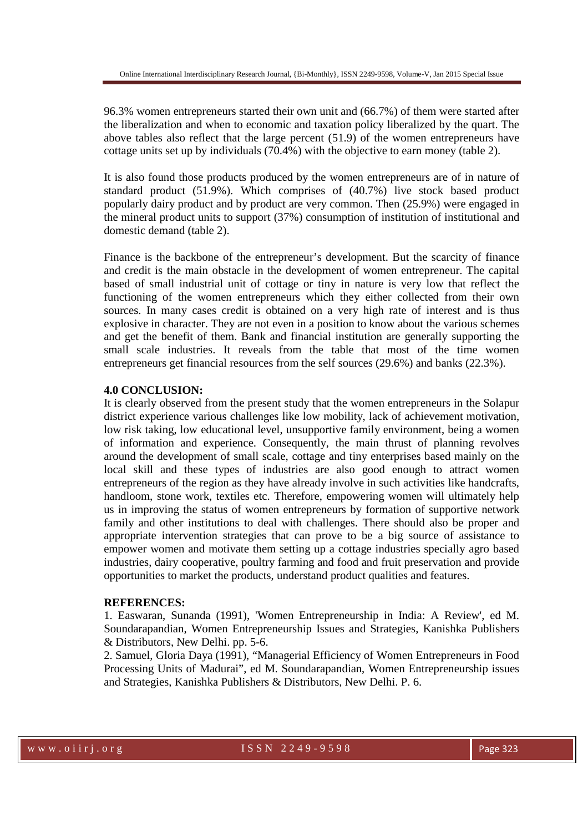96.3% women entrepreneurs started their own unit and (66.7%) of them were started after the liberalization and when to economic and taxation policy liberalized by the quart. The above tables also reflect that the large percent (51.9) of the women entrepreneurs have cottage units set up by individuals (70.4%) with the objective to earn money (table 2).

It is also found those products produced by the women entrepreneurs are of in nature of standard product (51.9%). Which comprises of (40.7%) live stock based product popularly dairy product and by product are very common. Then (25.9%) were engaged in the mineral product units to support (37%) consumption of institution of institutional and domestic demand (table 2).

Finance is the backbone of the entrepreneur's development. But the scarcity of finance and credit is the main obstacle in the development of women entrepreneur. The capital based of small industrial unit of cottage or tiny in nature is very low that reflect the functioning of the women entrepreneurs which they either collected from their own sources. In many cases credit is obtained on a very high rate of interest and is thus explosive in character. They are not even in a position to know about the various schemes and get the benefit of them. Bank and financial institution are generally supporting the small scale industries. It reveals from the table that most of the time women entrepreneurs get financial resources from the self sources (29.6%) and banks (22.3%).

## **4.0 CONCLUSION:**

It is clearly observed from the present study that the women entrepreneurs in the Solapur district experience various challenges like low mobility, lack of achievement motivation, low risk taking, low educational level, unsupportive family environment, being a women of information and experience. Consequently, the main thrust of planning revolves around the development of small scale, cottage and tiny enterprises based mainly on the local skill and these types of industries are also good enough to attract women entrepreneurs of the region as they have already involve in such activities like handcrafts, handloom, stone work, textiles etc. Therefore, empowering women will ultimately help us in improving the status of women entrepreneurs by formation of supportive network family and other institutions to deal with challenges. There should also be proper and appropriate intervention strategies that can prove to be a big source of assistance to empower women and motivate them setting up a cottage industries specially agro based industries, dairy cooperative, poultry farming and food and fruit preservation and provide opportunities to market the products, understand product qualities and features.

#### **REFERENCES:**

1. Easwaran, Sunanda (1991), 'Women Entrepreneurship in India: A Review', ed M. Soundarapandian, Women Entrepreneurship Issues and Strategies, Kanishka Publishers & Distributors, New Delhi. pp. 5-6.

2. Samuel, Gloria Daya (1991), "Managerial Efficiency of Women Entrepreneurs in Food Processing Units of Madurai", ed M. Soundarapandian, Women Entrepreneurship issues and Strategies, Kanishka Publishers & Distributors, New Delhi. P. 6.